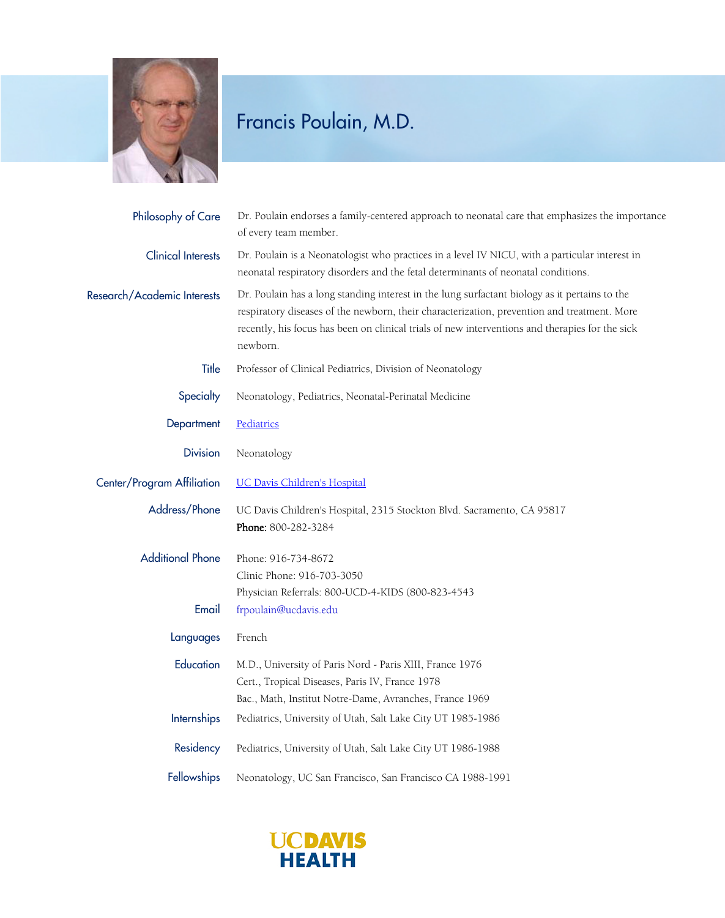

| Philosophy of Care          | Dr. Poulain endorses a family-centered approach to neonatal care that emphasizes the importance<br>of every team member.                                                                                                                                                                                    |
|-----------------------------|-------------------------------------------------------------------------------------------------------------------------------------------------------------------------------------------------------------------------------------------------------------------------------------------------------------|
| <b>Clinical Interests</b>   | Dr. Poulain is a Neonatologist who practices in a level IV NICU, with a particular interest in<br>neonatal respiratory disorders and the fetal determinants of neonatal conditions.                                                                                                                         |
| Research/Academic Interests | Dr. Poulain has a long standing interest in the lung surfactant biology as it pertains to the<br>respiratory diseases of the newborn, their characterization, prevention and treatment. More<br>recently, his focus has been on clinical trials of new interventions and therapies for the sick<br>newborn. |
| Title                       | Professor of Clinical Pediatrics, Division of Neonatology                                                                                                                                                                                                                                                   |
| Specialty                   | Neonatology, Pediatrics, Neonatal-Perinatal Medicine                                                                                                                                                                                                                                                        |
| Department                  | Pediatrics                                                                                                                                                                                                                                                                                                  |
| <b>Division</b>             | Neonatology                                                                                                                                                                                                                                                                                                 |
| Center/Program Affiliation  | <b>UC Davis Children's Hospital</b>                                                                                                                                                                                                                                                                         |
| Address/Phone               | UC Davis Children's Hospital, 2315 Stockton Blvd. Sacramento, CA 95817<br>Phone: 800-282-3284                                                                                                                                                                                                               |
| <b>Additional Phone</b>     | Phone: 916-734-8672<br>Clinic Phone: 916-703-3050<br>Physician Referrals: 800-UCD-4-KIDS (800-823-4543                                                                                                                                                                                                      |
| Email                       | frpoulain@ucdavis.edu                                                                                                                                                                                                                                                                                       |
| Languages                   | French                                                                                                                                                                                                                                                                                                      |
| Education                   | M.D., University of Paris Nord - Paris XIII, France 1976<br>Cert., Tropical Diseases, Paris IV, France 1978<br>Bac., Math, Institut Notre-Dame, Avranches, France 1969                                                                                                                                      |
| Internships                 | Pediatrics, University of Utah, Salt Lake City UT 1985-1986                                                                                                                                                                                                                                                 |
| Residency                   | Pediatrics, University of Utah, Salt Lake City UT 1986-1988                                                                                                                                                                                                                                                 |
| Fellowships                 | Neonatology, UC San Francisco, San Francisco CA 1988-1991                                                                                                                                                                                                                                                   |

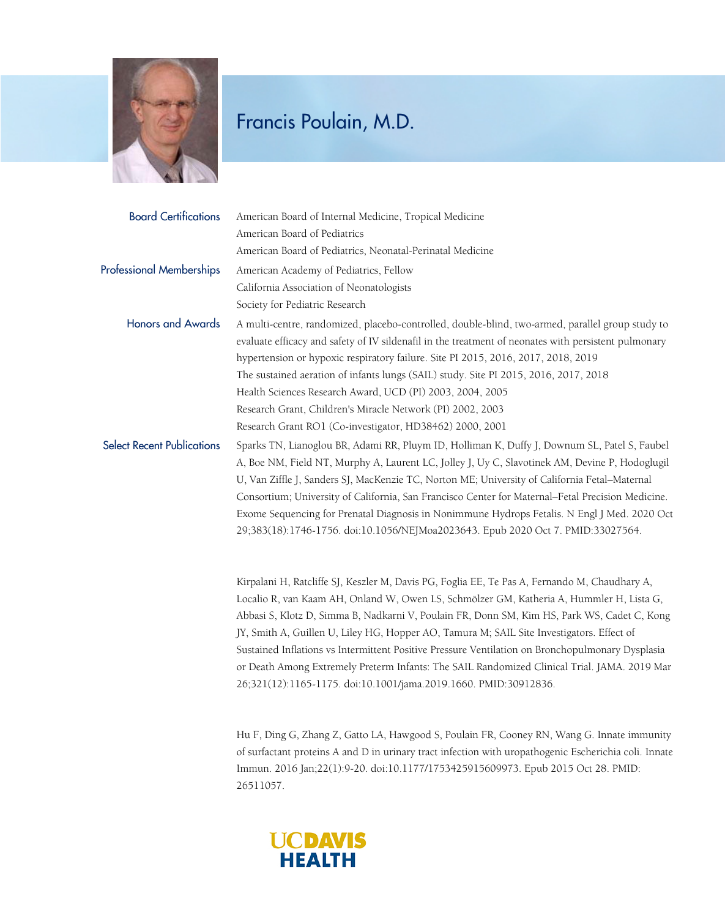

| <b>Board Certifications</b>       | American Board of Internal Medicine, Tropical Medicine                                                                                                                                                                                                                                                                                                                                                                                                                                                                                                                                                                                                        |
|-----------------------------------|---------------------------------------------------------------------------------------------------------------------------------------------------------------------------------------------------------------------------------------------------------------------------------------------------------------------------------------------------------------------------------------------------------------------------------------------------------------------------------------------------------------------------------------------------------------------------------------------------------------------------------------------------------------|
|                                   | American Board of Pediatrics                                                                                                                                                                                                                                                                                                                                                                                                                                                                                                                                                                                                                                  |
|                                   | American Board of Pediatrics, Neonatal-Perinatal Medicine                                                                                                                                                                                                                                                                                                                                                                                                                                                                                                                                                                                                     |
| <b>Professional Memberships</b>   | American Academy of Pediatrics, Fellow                                                                                                                                                                                                                                                                                                                                                                                                                                                                                                                                                                                                                        |
|                                   | California Association of Neonatologists                                                                                                                                                                                                                                                                                                                                                                                                                                                                                                                                                                                                                      |
|                                   | Society for Pediatric Research                                                                                                                                                                                                                                                                                                                                                                                                                                                                                                                                                                                                                                |
| <b>Honors and Awards</b>          | A multi-centre, randomized, placebo-controlled, double-blind, two-armed, parallel group study to<br>evaluate efficacy and safety of IV sildenafil in the treatment of neonates with persistent pulmonary<br>hypertension or hypoxic respiratory failure. Site PI 2015, 2016, 2017, 2018, 2019<br>The sustained aeration of infants lungs (SAIL) study. Site PI 2015, 2016, 2017, 2018<br>Health Sciences Research Award, UCD (PI) 2003, 2004, 2005<br>Research Grant, Children's Miracle Network (PI) 2002, 2003<br>Research Grant RO1 (Co-investigator, HD38462) 2000, 2001                                                                                  |
| <b>Select Recent Publications</b> | Sparks TN, Lianoglou BR, Adami RR, Pluym ID, Holliman K, Duffy J, Downum SL, Patel S, Faubel<br>A, Boe NM, Field NT, Murphy A, Laurent LC, Jolley J, Uy C, Slavotinek AM, Devine P, Hodoglugil<br>U, Van Ziffle J, Sanders SJ, MacKenzie TC, Norton ME; University of California Fetal-Maternal<br>Consortium; University of California, San Francisco Center for Maternal-Fetal Precision Medicine.<br>Exome Sequencing for Prenatal Diagnosis in Nonimmune Hydrops Fetalis. N Engl J Med. 2020 Oct<br>29;383(18):1746-1756. doi:10.1056/NEJMoa2023643. Epub 2020 Oct 7. PMID:33027564.                                                                      |
|                                   | Kirpalani H, Ratcliffe SJ, Keszler M, Davis PG, Foglia EE, Te Pas A, Fernando M, Chaudhary A,<br>Localio R, van Kaam AH, Onland W, Owen LS, Schmölzer GM, Katheria A, Hummler H, Lista G,<br>Abbasi S, Klotz D, Simma B, Nadkarni V, Poulain FR, Donn SM, Kim HS, Park WS, Cadet C, Kong<br>JY, Smith A, Guillen U, Liley HG, Hopper AO, Tamura M; SAIL Site Investigators. Effect of<br>Sustained Inflations vs Intermittent Positive Pressure Ventilation on Bronchopulmonary Dysplasia<br>or Death Among Extremely Preterm Infants: The SAIL Randomized Clinical Trial. JAMA. 2019 Mar<br>26;321(12):1165-1175. doi:10.1001/jama.2019.1660. PMID:30912836. |

Hu F, Ding G, Zhang Z, Gatto LA, Hawgood S, Poulain FR, Cooney RN, Wang G. Innate immunity of surfactant proteins A and D in urinary tract infection with uropathogenic Escherichia coli. Innate Immun. 2016 Jan;22(1):9-20. doi:10.1177/1753425915609973. Epub 2015 Oct 28. PMID: 26511057.

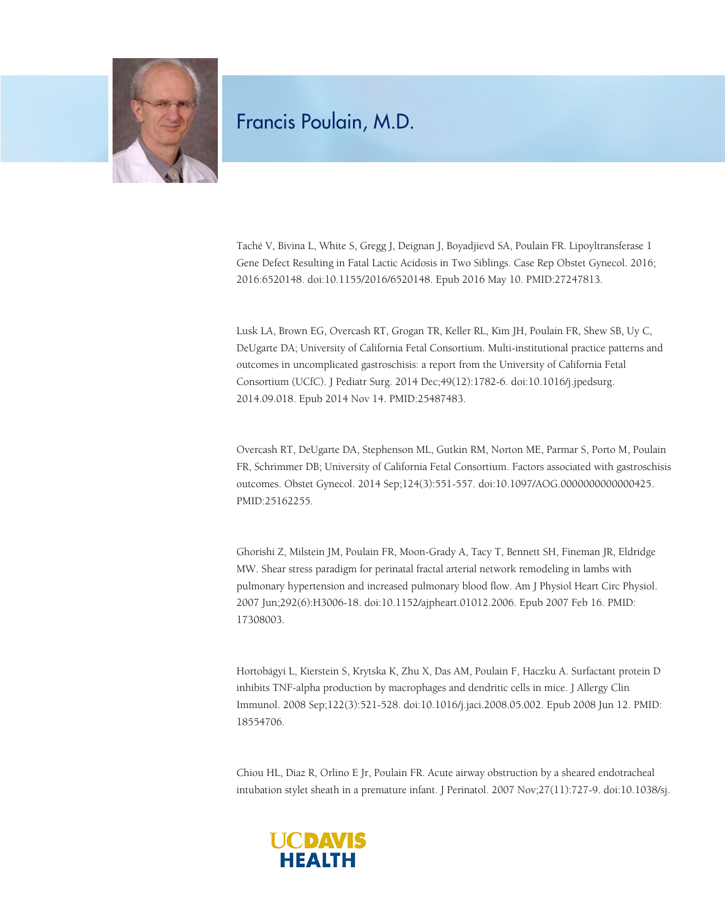

Taché V, Bivina L, White S, Gregg J, Deignan J, Boyadjievd SA, Poulain FR. Lipoyltransferase 1 Gene Defect Resulting in Fatal Lactic Acidosis in Two Siblings. Case Rep Obstet Gynecol. 2016; 2016:6520148. doi:10.1155/2016/6520148. Epub 2016 May 10. PMID:27247813.

Lusk LA, Brown EG, Overcash RT, Grogan TR, Keller RL, Kim JH, Poulain FR, Shew SB, Uy C, DeUgarte DA; University of California Fetal Consortium. Multi-institutional practice patterns and outcomes in uncomplicated gastroschisis: a report from the University of California Fetal Consortium (UCfC). J Pediatr Surg. 2014 Dec;49(12):1782-6. doi:10.1016/j.jpedsurg. 2014.09.018. Epub 2014 Nov 14. PMID:25487483.

Overcash RT, DeUgarte DA, Stephenson ML, Gutkin RM, Norton ME, Parmar S, Porto M, Poulain FR, Schrimmer DB; University of California Fetal Consortium. Factors associated with gastroschisis outcomes. Obstet Gynecol. 2014 Sep;124(3):551-557. doi:10.1097/AOG.0000000000000425. PMID:25162255.

Ghorishi Z, Milstein JM, Poulain FR, Moon-Grady A, Tacy T, Bennett SH, Fineman JR, Eldridge MW. Shear stress paradigm for perinatal fractal arterial network remodeling in lambs with pulmonary hypertension and increased pulmonary blood flow. Am J Physiol Heart Circ Physiol. 2007 Jun;292(6):H3006-18. doi:10.1152/ajpheart.01012.2006. Epub 2007 Feb 16. PMID: 17308003.

Hortobágyi L, Kierstein S, Krytska K, Zhu X, Das AM, Poulain F, Haczku A. Surfactant protein D inhibits TNF-alpha production by macrophages and dendritic cells in mice. J Allergy Clin Immunol. 2008 Sep;122(3):521-528. doi:10.1016/j.jaci.2008.05.002. Epub 2008 Jun 12. PMID: 18554706.

Chiou HL, Diaz R, Orlino E Jr, Poulain FR. Acute airway obstruction by a sheared endotracheal intubation stylet sheath in a premature infant. J Perinatol. 2007 Nov;27(11):727-9. doi:10.1038/sj.